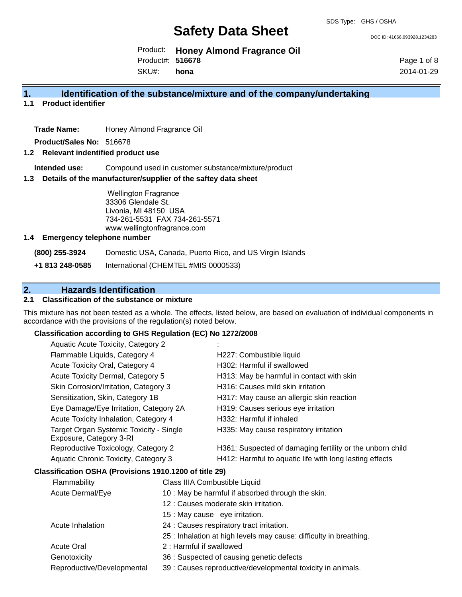DOC ID: 41666.993928.1234283

Product: **Honey Almond Fragrance Oil** Product#: **516678**

SKU#: **hona** Page 1 of 8 2014-01-29

## **1. Identification of the substance/mixture and of the company/undertaking**

**1.1 Product identifier**

**Trade Name:** Honey Almond Fragrance Oil

**Product/Sales No:** 516678

### **1.2 Relevant indentified product use**

**Intended use:** Compound used in customer substance/mixture/product

#### **1.3 Details of the manufacturer/supplier of the saftey data sheet**

Wellington Fragrance 33306 Glendale St. Livonia, MI 48150 USA 734-261-5531 FAX 734-261-5571 www.wellingtonfragrance.com

#### **1.4 Emergency telephone number**

**(800) 255-3924** Domestic USA, Canada, Puerto Rico, and US Virgin Islands

**+1 813 248-0585** International (CHEMTEL #MIS 0000533)

## **2. Hazards Identification**

## **2.1 Classification of the substance or mixture**

This mixture has not been tested as a whole. The effects, listed below, are based on evaluation of individual components in accordance with the provisions of the regulation(s) noted below.

#### **Classification according to GHS Regulation (EC) No 1272/2008**

| H227: Combustible liquid                                  |
|-----------------------------------------------------------|
| H302: Harmful if swallowed                                |
| H313: May be harmful in contact with skin                 |
| H316: Causes mild skin irritation                         |
| H317: May cause an allergic skin reaction                 |
| H319: Causes serious eye irritation                       |
| H332: Harmful if inhaled                                  |
| H335: May cause respiratory irritation                    |
| H361: Suspected of damaging fertility or the unborn child |
| H412: Harmful to aquatic life with long lasting effects   |
|                                                           |

## **Classification OSHA (Provisions 1910.1200 of title 29)**

| Flammability               | Class IIIA Combustible Liquid                                      |
|----------------------------|--------------------------------------------------------------------|
| Acute Dermal/Eye           | 10 : May be harmful if absorbed through the skin.                  |
|                            | 12 : Causes moderate skin irritation.                              |
|                            | 15 : May cause eye irritation.                                     |
| Acute Inhalation           | 24 : Causes respiratory tract irritation.                          |
|                            | 25 : Inhalation at high levels may cause: difficulty in breathing. |
| <b>Acute Oral</b>          | 2 : Harmful if swallowed                                           |
| Genotoxicity               | 36 : Suspected of causing genetic defects                          |
| Reproductive/Developmental | 39 : Causes reproductive/developmental toxicity in animals.        |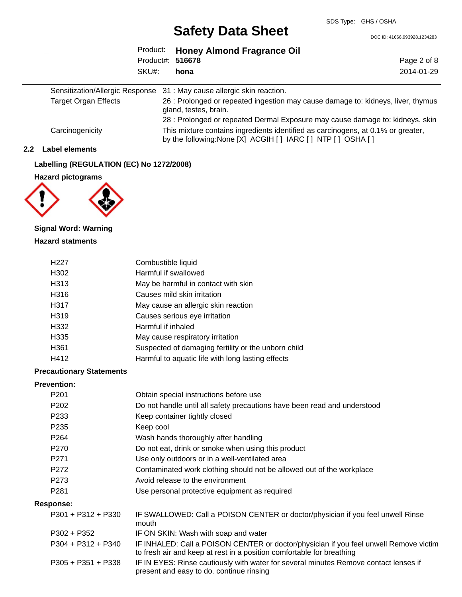DOC ID: 41666.993928.1234283

| SKU#:                       | Product: Honey Almond Fragrance Oil<br>Product#: 516678<br>hona                                           | Page 2 of 8<br>2014-01-29 |
|-----------------------------|-----------------------------------------------------------------------------------------------------------|---------------------------|
|                             | Sensitization/Allergic Response 31: May cause allergic skin reaction.                                     |                           |
| <b>Target Organ Effects</b> | 26 : Prolonged or repeated ingestion may cause damage to: kidneys, liver, thymus<br>gland, testes, brain. |                           |
|                             | 28 : Prolonged or repeated Dermal Exposure may cause damage to: kidneys, skin                             |                           |
| Carcinogenicity             | This mixture contains ingredients identified as carcinogens, at 0.1% or greater,                          |                           |

by the following:None [X] ACGIH [ ] IARC [ ] NTP [ ] OSHA [ ]

#### **2.2 Label elements**

## **Labelling (REGULATION (EC) No 1272/2008)**

**Hazard pictograms**



## **Signal Word: Warning**

## **Hazard statments**

| H <sub>22</sub> 7 | Combustible liquid                                  |
|-------------------|-----------------------------------------------------|
| H302              | Harmful if swallowed                                |
| H313              | May be harmful in contact with skin                 |
| H316              | Causes mild skin irritation                         |
| H317              | May cause an allergic skin reaction                 |
| H319              | Causes serious eye irritation                       |
| H332              | Harmful if inhaled                                  |
| H335              | May cause respiratory irritation                    |
| H <sub>361</sub>  | Suspected of damaging fertility or the unborn child |
| H412              | Harmful to aquatic life with long lasting effects   |

## **Precautionary Statements**

## **Prevention:**

| P <sub>201</sub>     | Obtain special instructions before use                                                                                                                         |
|----------------------|----------------------------------------------------------------------------------------------------------------------------------------------------------------|
| P <sub>202</sub>     | Do not handle until all safety precautions have been read and understood                                                                                       |
| P <sub>233</sub>     | Keep container tightly closed                                                                                                                                  |
| P <sub>235</sub>     | Keep cool                                                                                                                                                      |
| P <sub>264</sub>     | Wash hands thoroughly after handling                                                                                                                           |
| P <sub>270</sub>     | Do not eat, drink or smoke when using this product                                                                                                             |
| P <sub>271</sub>     | Use only outdoors or in a well-ventilated area                                                                                                                 |
| P <sub>272</sub>     | Contaminated work clothing should not be allowed out of the workplace                                                                                          |
| P <sub>273</sub>     | Avoid release to the environment                                                                                                                               |
| P <sub>281</sub>     | Use personal protective equipment as required                                                                                                                  |
| Response:            |                                                                                                                                                                |
| $P301 + P312 + P330$ | IF SWALLOWED: Call a POISON CENTER or doctor/physician if you feel unwell Rinse<br>mouth                                                                       |
| $P302 + P352$        | IF ON SKIN: Wash with soap and water                                                                                                                           |
| $P304 + P312 + P340$ | IF INHALED: Call a POISON CENTER or doctor/physician if you feel unwell Remove victim<br>to fresh air and keep at rest in a position comfortable for breathing |
| $P305 + P351 + P338$ | IF IN EYES: Rinse cautiously with water for several minutes Remove contact lenses if<br>present and easy to do. continue rinsing                               |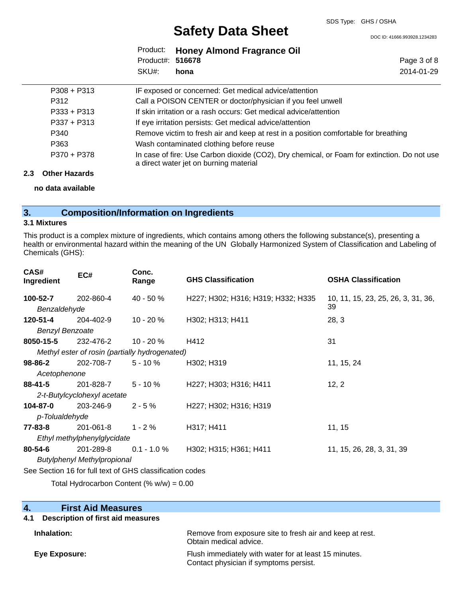DOC ID: 41666.993928.1234283

Page 3 of 8 2014-01-29

|                  | Product: Honey Almond Fragrance Oil |
|------------------|-------------------------------------|
| Product#: 516678 |                                     |
| SKU#: hona       |                                     |

| $P308 + P313$ | IF exposed or concerned: Get medical advice/attention                                                                                 |
|---------------|---------------------------------------------------------------------------------------------------------------------------------------|
| P312          | Call a POISON CENTER or doctor/physician if you feel unwell                                                                           |
| $P333 + P313$ | If skin irritation or a rash occurs: Get medical advice/attention                                                                     |
| P337 + P313   | If eye irritation persists: Get medical advice/attention                                                                              |
| P340          | Remove victim to fresh air and keep at rest in a position comfortable for breathing                                                   |
| P363          | Wash contaminated clothing before reuse                                                                                               |
| P370 + P378   | In case of fire: Use Carbon dioxide (CO2), Dry chemical, or Foam for extinction. Do not use<br>a direct water jet on burning material |

#### **2.3 Other Hazards**

**no data available**

## **3. Composition/Information on Ingredients**

#### **3.1 Mixtures**

This product is a complex mixture of ingredients, which contains among others the following substance(s), presenting a health or environmental hazard within the meaning of the UN Globally Harmonized System of Classification and Labeling of Chemicals (GHS):

| CAS#<br>Ingredient     | EC#                                                      | Conc.<br>Range | <b>GHS Classification</b>          | <b>OSHA Classification</b>         |
|------------------------|----------------------------------------------------------|----------------|------------------------------------|------------------------------------|
| 100-52-7               | 202-860-4                                                | $40 - 50 \%$   | H227; H302; H316; H319; H332; H335 | 10, 11, 15, 23, 25, 26, 3, 31, 36, |
| Benzaldehyde           |                                                          |                |                                    | 39                                 |
| 120-51-4               | 204-402-9                                                | $10 - 20 \%$   | H302; H313; H411                   | 28, 3                              |
| <b>Benzyl Benzoate</b> |                                                          |                |                                    |                                    |
| 8050-15-5              | 232-476-2                                                | $10 - 20 \%$   | H412                               | 31                                 |
|                        | Methyl ester of rosin (partially hydrogenated)           |                |                                    |                                    |
| $98 - 86 - 2$          | 202-708-7                                                | $5 - 10 \%$    | H302; H319                         | 11, 15, 24                         |
| Acetophenone           |                                                          |                |                                    |                                    |
| 88-41-5                | 201-828-7                                                | $5 - 10 \%$    | H227; H303; H316; H411             | 12, 2                              |
|                        | 2-t-Butylcyclohexyl acetate                              |                |                                    |                                    |
| 104-87-0               | 203-246-9                                                | $2 - 5%$       | H227; H302; H316; H319             |                                    |
| p-Tolualdehyde         |                                                          |                |                                    |                                    |
| 77-83-8                | 201-061-8                                                | $1 - 2 \%$     | H317; H411                         | 11, 15                             |
|                        | Ethyl methylphenylglycidate                              |                |                                    |                                    |
| $80 - 54 - 6$          | 201-289-8                                                | $0.1 - 1.0 \%$ | H302; H315; H361; H411             | 11, 15, 26, 28, 3, 31, 39          |
|                        | <b>Butylphenyl Methylpropional</b>                       |                |                                    |                                    |
|                        | See Section 16 for full text of GHS classification codes |                |                                    |                                    |
|                        |                                                          |                |                                    |                                    |

Total Hydrocarbon Content  $(\% w/w) = 0.00$ 

| 4.<br><b>First Aid Measures</b>       |                                                                                    |
|---------------------------------------|------------------------------------------------------------------------------------|
| 4.1 Description of first aid measures |                                                                                    |
| Inhalation:                           | Remove from exposure site to fresh air and keep at rest.<br>Obtain medical advice. |
| Eye Exposure:                         | Flush immediately with water for at least 15 minutes.                              |

Contact physician if symptoms persist.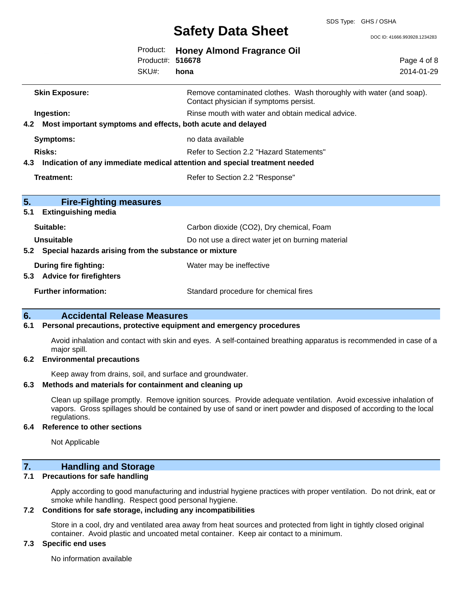DOC ID: 41666.993928.1234283

|     |                                                                                   | Product:<br>Product#: 516678<br>SKU#: | <b>Honey Almond Fragrance Oil</b><br>hona                                                                     | Page 4 of 8<br>2014-01-29 |
|-----|-----------------------------------------------------------------------------------|---------------------------------------|---------------------------------------------------------------------------------------------------------------|---------------------------|
|     | <b>Skin Exposure:</b>                                                             |                                       | Remove contaminated clothes. Wash thoroughly with water (and soap).<br>Contact physician if symptoms persist. |                           |
| 4.2 | Ingestion:<br>Most important symptoms and effects, both acute and delayed         |                                       | Rinse mouth with water and obtain medical advice.                                                             |                           |
|     | <b>Symptoms:</b>                                                                  |                                       | no data available                                                                                             |                           |
|     | Risks:                                                                            |                                       | Refer to Section 2.2 "Hazard Statements"                                                                      |                           |
|     | Indication of any immediate medical attention and special treatment needed<br>4.3 |                                       |                                                                                                               |                           |
|     | <b>Treatment:</b>                                                                 |                                       | Refer to Section 2.2 "Response"                                                                               |                           |
| 5.  | <b>Fire-Fighting measures</b>                                                     |                                       |                                                                                                               |                           |
| 5.1 | <b>Extinguishing media</b>                                                        |                                       |                                                                                                               |                           |
|     | Suitable:                                                                         |                                       | Carbon dioxide (CO2), Dry chemical, Foam                                                                      |                           |
|     | <b>Unsuitable</b>                                                                 |                                       | Do not use a direct water jet on burning material                                                             |                           |
| 5.2 | Special hazards arising from the substance or mixture                             |                                       |                                                                                                               |                           |
| 5.3 | <b>During fire fighting:</b><br><b>Advice for firefighters</b>                    |                                       | Water may be ineffective                                                                                      |                           |
|     | <b>Further information:</b>                                                       |                                       | Standard procedure for chemical fires                                                                         |                           |

## **6. Accidental Release Measures**

## **6.1 Personal precautions, protective equipment and emergency procedures**

Avoid inhalation and contact with skin and eyes. A self-contained breathing apparatus is recommended in case of a major spill.

#### **6.2 Environmental precautions**

Keep away from drains, soil, and surface and groundwater.

## **6.3 Methods and materials for containment and cleaning up**

Clean up spillage promptly. Remove ignition sources. Provide adequate ventilation. Avoid excessive inhalation of vapors. Gross spillages should be contained by use of sand or inert powder and disposed of according to the local regulations.

## **6.4 Reference to other sections**

Not Applicable

## **7. Handling and Storage**

## **7.1 Precautions for safe handling**

Apply according to good manufacturing and industrial hygiene practices with proper ventilation. Do not drink, eat or smoke while handling. Respect good personal hygiene.

## **7.2 Conditions for safe storage, including any incompatibilities**

Store in a cool, dry and ventilated area away from heat sources and protected from light in tightly closed original container. Avoid plastic and uncoated metal container. Keep air contact to a minimum.

## **7.3 Specific end uses**

No information available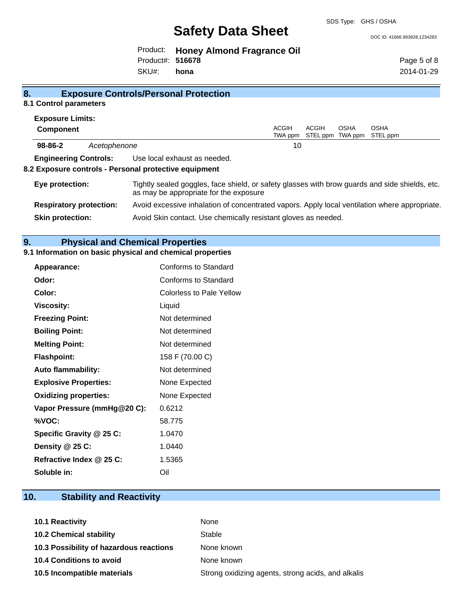SDS Type: GHS / OSHA

DOC ID: 41666.993928.1234283

Product: **Honey Almond Fragrance Oil** SKU#: Product#: **516678 hona**

Page 5 of 8 2014-01-29

## **8. Exposure Controls/Personal Protection**

## **8.1 Control parameters**

| <b>Exposure Limits:</b>        |              |                                                                                                                                          |                  |                           |      |                         |
|--------------------------------|--------------|------------------------------------------------------------------------------------------------------------------------------------------|------------------|---------------------------|------|-------------------------|
| <b>Component</b>               |              |                                                                                                                                          | ACGIH<br>TWA ppm | ACGIH<br>STEL ppm TWA ppm | OSHA | <b>OSHA</b><br>STEL ppm |
| $98 - 86 - 2$                  | Acetophenone |                                                                                                                                          | 10               |                           |      |                         |
| <b>Engineering Controls:</b>   |              | Use local exhaust as needed.<br>8.2 Exposure controls - Personal protective equipment                                                    |                  |                           |      |                         |
| Eye protection:                |              | Tightly sealed goggles, face shield, or safety glasses with brow guards and side shields, etc.<br>as may be appropriate for the exposure |                  |                           |      |                         |
| <b>Respiratory protection:</b> |              | Avoid excessive inhalation of concentrated vapors. Apply local ventilation where appropriate.                                            |                  |                           |      |                         |
| <b>Skin protection:</b>        |              | Avoid Skin contact. Use chemically resistant gloves as needed.                                                                           |                  |                           |      |                         |

## **9. Physical and Chemical Properties**

## **9.1 Information on basic physical and chemical properties**

| Appearance:                  | Conforms to Standard            |
|------------------------------|---------------------------------|
| Odor:                        | Conforms to Standard            |
| Color:                       | <b>Colorless to Pale Yellow</b> |
| <b>Viscosity:</b>            | Liquid                          |
| <b>Freezing Point:</b>       | Not determined                  |
| <b>Boiling Point:</b>        | Not determined                  |
| <b>Melting Point:</b>        | Not determined                  |
| <b>Flashpoint:</b>           | 158 F (70.00 C)                 |
| <b>Auto flammability:</b>    | Not determined                  |
| <b>Explosive Properties:</b> | None Expected                   |
| <b>Oxidizing properties:</b> | None Expected                   |
| Vapor Pressure (mmHg@20 C):  | 0.6212                          |
| %VOC:                        | 58.775                          |
| Specific Gravity @ 25 C:     | 1.0470                          |
| Density @ 25 C:              | 1.0440                          |
| Refractive Index @ 25 C:     | 1.5365                          |
| Soluble in:                  | Oil                             |

## **10. Stability and Reactivity**

| <b>10.1 Reactivity</b>                  | None                                               |
|-----------------------------------------|----------------------------------------------------|
| <b>10.2 Chemical stability</b>          | Stable                                             |
| 10.3 Possibility of hazardous reactions | None known                                         |
| <b>10.4 Conditions to avoid</b>         | None known                                         |
| 10.5 Incompatible materials             | Strong oxidizing agents, strong acids, and alkalis |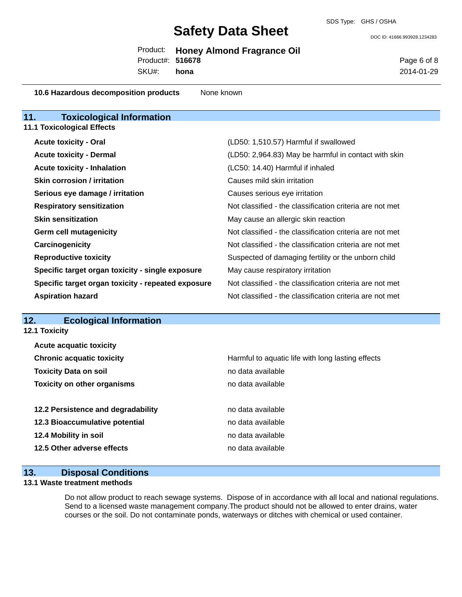DOC ID: 41666.993928.1234283

|                  | Product: Honey Almond Fragrance Oil |
|------------------|-------------------------------------|
| Product#: 516678 |                                     |

SKU#: **hona** Page 6 of 8 2014-01-29

| 10.6 Hazardous decomposition products | None known |
|---------------------------------------|------------|
|---------------------------------------|------------|

| <b>Toxicological Information</b><br>11.            |                                                          |
|----------------------------------------------------|----------------------------------------------------------|
| <b>11.1 Toxicological Effects</b>                  |                                                          |
| <b>Acute toxicity - Oral</b>                       | (LD50: 1,510.57) Harmful if swallowed                    |
| <b>Acute toxicity - Dermal</b>                     | (LD50: 2,964.83) May be harmful in contact with skin     |
| <b>Acute toxicity - Inhalation</b>                 | (LC50: 14.40) Harmful if inhaled                         |
| <b>Skin corrosion / irritation</b>                 | Causes mild skin irritation                              |
| Serious eye damage / irritation                    | Causes serious eye irritation                            |
| <b>Respiratory sensitization</b>                   | Not classified - the classification criteria are not met |
| <b>Skin sensitization</b>                          | May cause an allergic skin reaction                      |
| Germ cell mutagenicity                             | Not classified - the classification criteria are not met |
| Carcinogenicity                                    | Not classified - the classification criteria are not met |
| <b>Reproductive toxicity</b>                       | Suspected of damaging fertility or the unborn child      |
| Specific target organ toxicity - single exposure   | May cause respiratory irritation                         |
| Specific target organ toxicity - repeated exposure | Not classified - the classification criteria are not met |
| <b>Aspiration hazard</b>                           | Not classified - the classification criteria are not met |

## **12. Ecological Information**

**12.1 Toxicity**

| <b>Acute acquatic toxicity</b>     |                                                   |
|------------------------------------|---------------------------------------------------|
| <b>Chronic acquatic toxicity</b>   | Harmful to aquatic life with long lasting effects |
| <b>Toxicity Data on soil</b>       | no data available                                 |
| <b>Toxicity on other organisms</b> | no data available                                 |
|                                    |                                                   |
| 12.2 Persistence and degradability | no data available                                 |
| 12.3 Bioaccumulative potential     | no data available                                 |
| 12.4 Mobility in soil              | no data available                                 |
| 12.5 Other adverse effects         | no data available                                 |
|                                    |                                                   |

## **13. Disposal Conditions**

## **13.1 Waste treatment methods**

Do not allow product to reach sewage systems. Dispose of in accordance with all local and national regulations. Send to a licensed waste management company.The product should not be allowed to enter drains, water courses or the soil. Do not contaminate ponds, waterways or ditches with chemical or used container.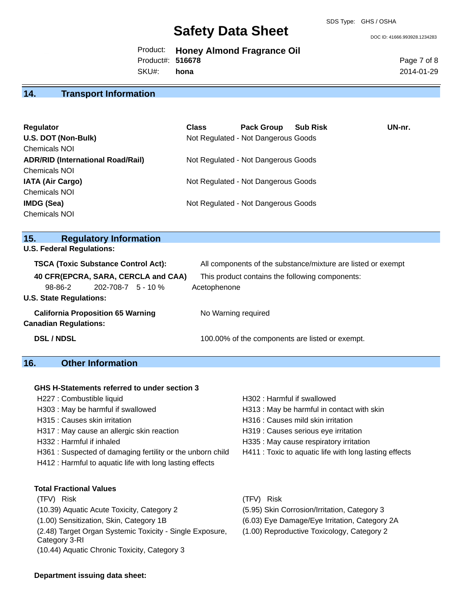DOC ID: 41666.993928.1234283

Product: **Honey Almond Fragrance Oil** SKU#: Product#: **516678 hona**

Page 7 of 8 2014-01-29

## **14. Transport Information**

| Regulator                                | <b>Class</b> | <b>Pack Group</b>                   | <b>Sub Risk</b> | UN-nr. |
|------------------------------------------|--------------|-------------------------------------|-----------------|--------|
| U.S. DOT (Non-Bulk)                      |              | Not Regulated - Not Dangerous Goods |                 |        |
| <b>Chemicals NOI</b>                     |              |                                     |                 |        |
| <b>ADR/RID (International Road/Rail)</b> |              | Not Regulated - Not Dangerous Goods |                 |        |
| <b>Chemicals NOI</b>                     |              |                                     |                 |        |
| <b>IATA (Air Cargo)</b>                  |              | Not Regulated - Not Dangerous Goods |                 |        |
| <b>Chemicals NOI</b>                     |              |                                     |                 |        |
| <b>IMDG (Sea)</b>                        |              | Not Regulated - Not Dangerous Goods |                 |        |
| <b>Chemicals NOI</b>                     |              |                                     |                 |        |

| <b>Regulatory Information</b><br>15.                                     |                                                              |
|--------------------------------------------------------------------------|--------------------------------------------------------------|
| <b>U.S. Federal Regulations:</b>                                         |                                                              |
| <b>TSCA (Toxic Substance Control Act):</b>                               | All components of the substance/mixture are listed or exempt |
| 40 CFR(EPCRA, SARA, CERCLA and CAA)                                      | This product contains the following components:              |
| $202 - 708 - 7$ 5 - 10 %<br>98-86-2                                      | Acetophenone                                                 |
| <b>U.S. State Regulations:</b>                                           |                                                              |
| <b>California Proposition 65 Warning</b><br><b>Canadian Regulations:</b> | No Warning required                                          |
| <b>DSL/NDSL</b>                                                          | 100.00% of the components are listed or exempt.              |

## **16. Other Information**

#### **GHS H-Statements referred to under section 3**

- 
- 
- H317 : May cause an allergic skin reaction **H319** : Causes serious eye irritation
- 
- H361 : Suspected of damaging fertility or the unborn child H411 : Toxic to aquatic life with long lasting effects
- H412 : Harmful to aquatic life with long lasting effects

**Total Fractional Values** (TFV) Risk (TFV) Risk (10.39) Aquatic Acute Toxicity, Category 2 (5.95) Skin Corrosion/Irritation, Category 3 (1.00) Sensitization, Skin, Category 1B (6.03) Eye Damage/Eye Irritation, Category 2A (2.48) Target Organ Systemic Toxicity - Single Exposure, Category 3-RI (10.44) Aquatic Chronic Toxicity, Category 3

- H227 : Combustible liquid H302 : Harmful if swallowed
- H303 : May be harmful if swallowed H313 : May be harmful in contact with skin
- H315 : Causes skin irritation et al. (a) H316 : Causes mild skin irritation
	-
- H332 : Harmful if inhaled **Hashman** H335 : May cause respiratory irritation
	-
	-
	-
	-
	- (1.00) Reproductive Toxicology, Category 2

#### **Department issuing data sheet:**